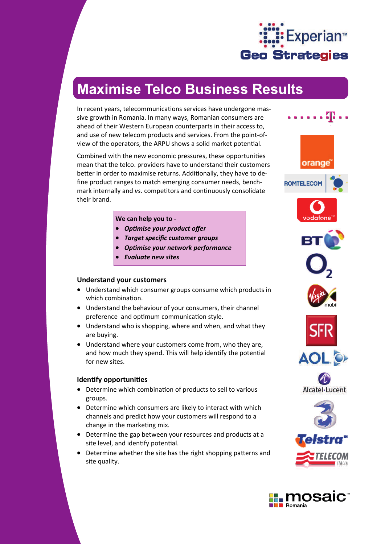

# **Maximise Telco Business Results**

In recent years, telecommunications services have undergone massive growth in Romania. In many ways, Romanian consumers are ahead of their Western European counterparts in their access to, and use of new telecom products and services. From the point-ofview of the operators, the ARPU shows a solid market potential.

Combined with the new economic pressures, these opportunities mean that the telco. providers have to understand their customers better in order to maximise returns. Additionally, they have to define product ranges to match emerging consumer needs, benchmark internally and *vs.* competitors and continuously consolidate their brand.

**We can help you to ‐** 

- *OpƟmise your product offer*
- *Target specific customer groups*
- *OpƟmise your network performance*
- *Evaluate new sites*

## **Understand your customers**

- Understand which consumer groups consume which products in which combination.
- Understand the behaviour of your consumers, their channel preference and optimum communication style.
- Understand who is shopping, where and when, and what they are buying.
- Understand where your customers come from, who they are, and how much they spend. This will help identify the potential for new sites.

## **IdenƟfy opportuniƟes**

- Determine which combination of products to sell to various groups.
- Determine which consumers are likely to interact with which channels and predict how your customers will respond to a change in the marketing mix.
- Determine the gap between your resources and products at a site level, and identify potential.
- Determine whether the site has the right shopping patterns and site quality.